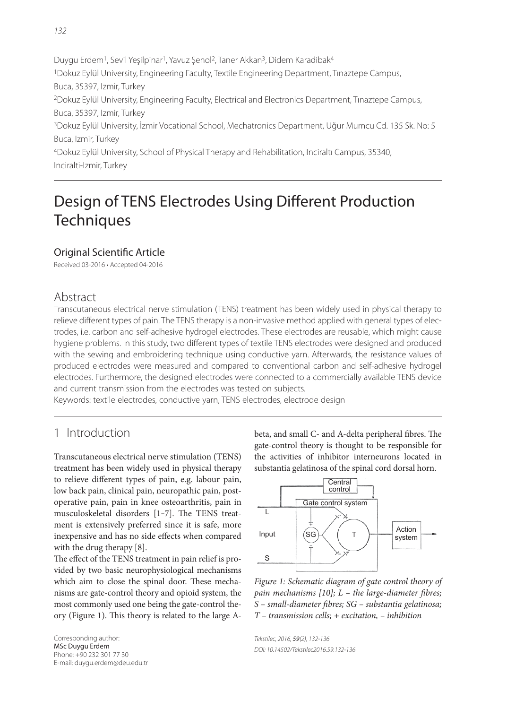Duygu Erdem<sup>1</sup>, Sevil Yeşilpinar<sup>1</sup>, Yavuz Senol<sup>2</sup>, Taner Akkan<sup>3</sup>, Didem Karadibak<sup>4</sup> 1Dokuz Eylül University, Engineering Faculty, Textile Engineering Department, Tınaztepe Campus, Buca, 35397, Izmir, Turkey 2Dokuz Eylül University, Engineering Faculty, Electrical and Electronics Department, Tınaztepe Campus, Buca, 35397, Izmir, Turkey 3Dokuz Eylül University, İzmir Vocational School, Mechatronics Department, Uğur Mumcu Cd. 135 Sk. No: 5 Buca, Izmir, Turkey

4Dokuz Eylül University, School of Physical Therapy and Rehabilitation, Inciraltı Campus, 35340, Inciralti-Izmir, Turkey

# Design of TENS Electrodes Using Different Production **Techniques**

#### Original Scientific Article

Received 03-2016 • Accepted 04-2016

### Abstract

Transcutaneous electrical nerve stimulation (TENS) treatment has been widely used in physical therapy to relieve different types of pain. The TENS therapy is a non-invasive method applied with general types of electrodes, i.e. carbon and self-adhesive hydrogel electrodes. These electrodes are reusable, which might cause hygiene problems. In this study, two different types of textile TENS electrodes were designed and produced with the sewing and embroidering technique using conductive yarn. Afterwards, the resistance values of produced electrodes were measured and compared to conventional carbon and self-adhesive hydrogel electrodes. Furthermore, the designed electrodes were connected to a commercially available TENS device and current transmission from the electrodes was tested on subjects.

Keywords: textile electrodes, conductive yarn, TENS electrodes, electrode design

## 1 Introduction

Transcutaneous electrical nerve stimulation (TENS) treatment has been widely used in physical therapy to relieve different types of pain, e.g. labour pain, low back pain, clinical pain, neuropathic pain, postoperative pain, pain in knee osteoarthritis, pain in musculoskeletal disorders [1-7]. The TENS treatment is extensively preferred since it is safe, more inexpensive and has no side effects when compared with the drug therapy [8].

The effect of the TENS treatment in pain relief is provided by two basic neurophysiological mechanisms which aim to close the spinal door. These mechanisms are gate-control theory and opioid system, the most commonly used one being the gate-control theory (Figure 1). This theory is related to the large A-

Corresponding author: MSc Duygu Erdem Phone: +90 232 301 77 30 E-mail: duygu.erdem@deu.edu.tr beta, and small C- and A-delta peripheral fibres. The gate-control theory is thought to be responsible for the activities of inhibitor interneurons located in substantia gelatinosa of the spinal cord dorsal horn.



Figure 1: Schematic diagram of gate control theory of pain mechanisms  $[10]$ ;  $L$  – the large-diameter fibres; S - small-diameter fibres; SG - substantia gelatinosa;  $T$  – transmission cells;  $+$  excitation,  $-$  inhibition

Tekstilec, 2016, 59(2), 132-136 DOI: 10.14502/Tekstilec2016.59.132-136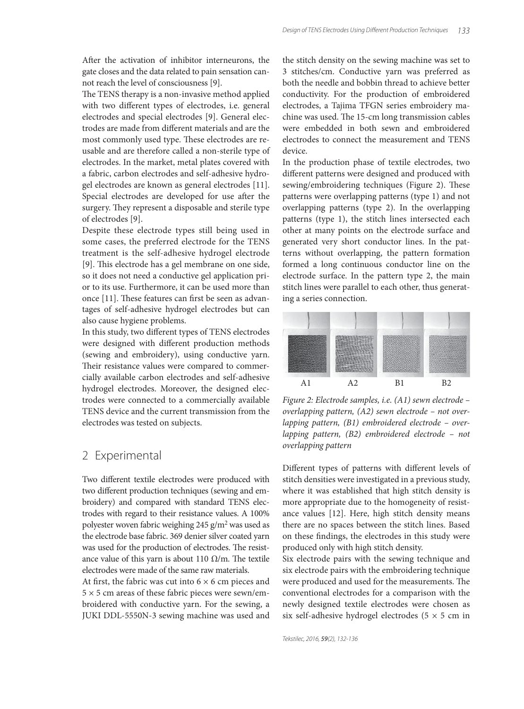After the activation of inhibitor interneurons, the gate closes and the data related to pain sensation cannot reach the level of consciousness [9].

The TENS therapy is a non-invasive method applied with two different types of electrodes, i.e. general electrodes and special electrodes [9]. General electrodes are made from different materials and are the most commonly used type. These electrodes are reusable and are therefore called a non-sterile type of electrodes. In the market, metal plates covered with a fabric, carbon electrodes and self-adhesive hydrogel electrodes are known as general electrodes [11]. Special electrodes are developed for use after the surgery. They represent a disposable and sterile type of electrodes [9].

Despite these electrode types still being used in some cases, the preferred electrode for the TENS treatment is the self-adhesive hydrogel electrode [9]. This electrode has a gel membrane on one side, so it does not need a conductive gel application prior to its use. Furthermore, it can be used more than once [11]. These features can first be seen as advantages of self-adhesive hydrogel electrodes but can also cause hygiene problems.

In this study, two different types of TENS electrodes were designed with different production methods (sewing and embroidery), using conductive yarn. Their resistance values were compared to commercially available carbon electrodes and self-adhesive hydrogel electrodes. Moreover, the designed electrodes were connected to a commercially available TENS device and the current transmission from the electrodes was tested on subjects.

#### 2 Experimental

Two different textile electrodes were produced with two different production techniques (sewing and embroidery) and compared with standard TENS electrodes with regard to their resistance values. A 100% polyester woven fabric weighing 245 g/m2 was used as the electrode base fabric. 369 denier silver coated yarn was used for the production of electrodes. The resistance value of this yarn is about 110  $\Omega/m$ . The textile electrodes were made of the same raw materials.

At first, the fabric was cut into  $6 \times 6$  cm pieces and  $5 \times 5$  cm areas of these fabric pieces were sewn/embroidered with conductive yarn. For the sewing, a JUKI DDL-5550N-3 sewing machine was used and the stitch density on the sewing machine was set to 3 stitches/cm. Conductive yarn was preferred as both the needle and bobbin thread to achieve better conductivity. For the production of embroidered electrodes, a Tajima TFGN series embroidery machine was used. The 15-cm long transmission cables were embedded in both sewn and embroidered electrodes to connect the measurement and TENS device.

In the production phase of textile electrodes, two different patterns were designed and produced with sewing/embroidering techniques (Figure 2). These patterns were overlapping patterns (type 1) and not overlapping patterns (type 2). In the overlapping patterns (type 1), the stitch lines intersected each other at many points on the electrode surface and generated very short conductor lines. In the patterns without overlapping, the pattern formation formed a long continuous conductor line on the electrode surface. In the pattern type 2, the main stitch lines were parallel to each other, thus generating a series connection.



Figure 2: Electrode samples, i.e. (A1) sewn electrode – overlapping pattern, (A2) sewn electrode – not overlapping pattern, (B1) embroidered electrode – overlapping pattern, (B2) embroidered electrode – not overlapping pattern

Different types of patterns with different levels of stitch densities were investigated in a previous study, where it was established that high stitch density is more appropriate due to the homogeneity of resistance values [12]. Here, high stitch density means there are no spaces between the stitch lines. Based on these findings, the electrodes in this study were produced only with high stitch density.

Six electrode pairs with the sewing technique and six electrode pairs with the embroidering technique were produced and used for the measurements. The conventional electrodes for a comparison with the newly designed textile electrodes were chosen as six self-adhesive hydrogel electrodes ( $5 \times 5$  cm in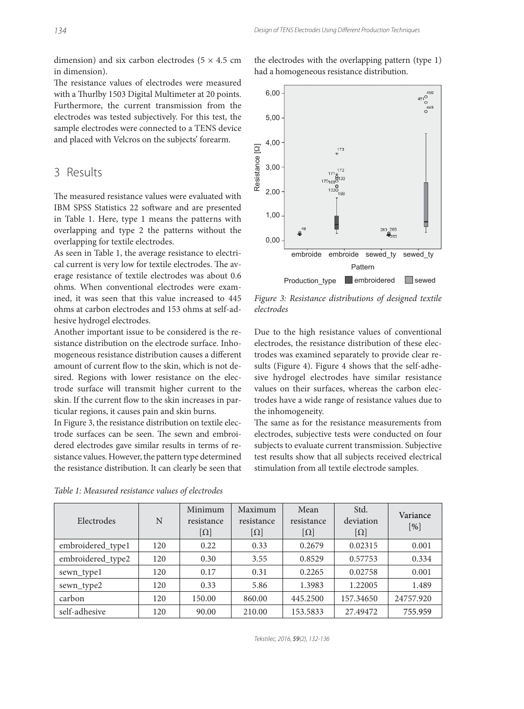dimension) and six carbon electrodes ( $5 \times 4.5$  cm in dimension).

The resistance values of electrodes were measured with a Thurlby 1503 Digital Multimeter at 20 points. Furthermore, the current transmission from the electrodes was tested subjectively. For this test, the sample electrodes were connected to a TENS device and placed with Velcros on the subjects' forearm.

#### 3 Results

The measured resistance values were evaluated with IBM SPSS Statistics 22 software and are presented in Table 1. Here, type 1 means the patterns with overlapping and type 2 the patterns without the overlapping for textile electrodes.

As seen in Table 1, the average resistance to electrical current is very low for textile electrodes. The average resistance of textile electrodes was about 0.6 ohms. When conventional electrodes were examined, it was seen that this value increased to 445 ohms at carbon electrodes and 153 ohms at self-adhesive hydrogel electrodes.

Another important issue to be considered is the resistance distribution on the electrode surface. Inhomogeneous resistance distribution causes a different amount of current flow to the skin, which is not desired. Regions with lower resistance on the electrode surface will transmit higher current to the skin. If the current flow to the skin increases in particular regions, it causes pain and skin burns.

In Figure 3, the resistance distribution on textile electrode surfaces can be seen. The sewn and embroidered electrodes gave similar results in terms of resistance values. However, the pattern type determined the resistance distribution. It can clearly be seen that

Table 1: Measured resistance values of electrodes

| the electrodes with the overlapping pattern (type 1) |  |
|------------------------------------------------------|--|
| had a homogeneous resistance distribution.           |  |
|                                                      |  |



Figure 3: Resistance distributions of designed textile electrodes

Due to the high resistance values of conventional electrodes, the resistance distribution of these electrodes was examined separately to provide clear results (Figure 4). Figure 4 shows that the self-adhesive hydrogel electrodes have similar resistance values on their surfaces, whereas the carbon electrodes have a wide range of resistance values due to the inhomogeneity.

The same as for the resistance measurements from electrodes, subjective tests were conducted on four subjects to evaluate current transmission. Subjective test results show that all subjects received electrical stimulation from all textile electrode samples.

| Electrodes        | N   | Minimum<br>resistance<br>$[\Omega]$ | Maximum<br>resistance<br>$[\Omega]$ | Mean<br>resistance<br>$[\Omega]$ | Std.<br>deviation<br>$[\Omega]$ | Variance<br>[%] |
|-------------------|-----|-------------------------------------|-------------------------------------|----------------------------------|---------------------------------|-----------------|
| embroidered_type1 | 120 | 0.22                                | 0.33                                | 0.2679                           | 0.02315                         | 0.001           |
| embroidered_type2 | 120 | 0.30                                | 3.55                                | 0.8529                           | 0.57753                         | 0.334           |
| sewn_type1        | 120 | 0.17                                | 0.31                                | 0.2265                           | 0.02758                         | 0.001           |
| sewn_type2        | 120 | 0.33                                | 5.86                                | 1.3983                           | 1.22005                         | 1.489           |
| carbon            | 120 | 150.00                              | 860.00                              | 445.2500                         | 157.34650                       | 24757.920       |
| self-adhesive     | 120 | 90.00                               | 210.00                              | 153.5833                         | 27.49472                        | 755.959         |

Tekstilec, 2016, 59(2), 132-136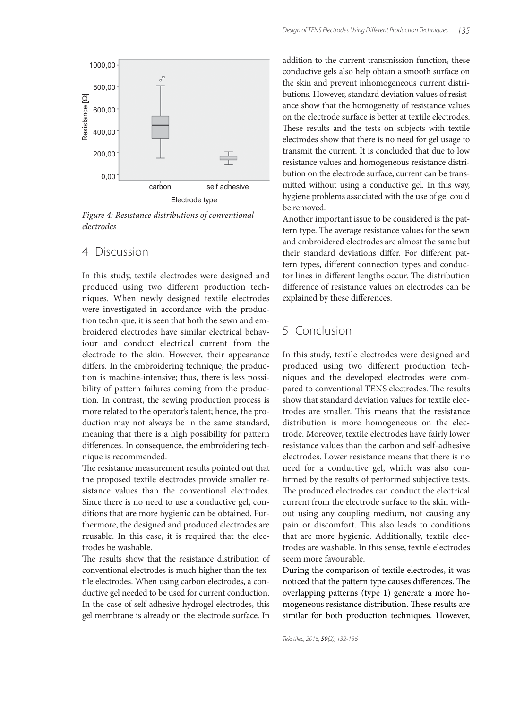

Figure 4: Resistance distributions of conventional electrodes

#### 4 Discussion

In this study, textile electrodes were designed and produced using two different production techniques. When newly designed textile electrodes were investigated in accordance with the production technique, it is seen that both the sewn and embroidered electrodes have similar electrical behaviour and conduct electrical current from the electrode to the skin. However, their appearance differs. In the embroidering technique, the production is machine-intensive; thus, there is less possibility of pattern failures coming from the production. In contrast, the sewing production process is more related to the operator's talent; hence, the production may not always be in the same standard, meaning that there is a high possibility for pattern differences. In consequence, the embroidering technique is recommended.

The resistance measurement results pointed out that the proposed textile electrodes provide smaller resistance values than the conventional electrodes. Since there is no need to use a conductive gel, conditions that are more hygienic can be obtained. Furthermore, the designed and produced electrodes are reusable. In this case, it is required that the electrodes be washable.

The results show that the resistance distribution of conventional electrodes is much higher than the textile electrodes. When using carbon electrodes, a conductive gel needed to be used for current conduction. In the case of self-adhesive hydrogel electrodes, this gel membrane is already on the electrode surface. In

addition to the current transmission function, these conductive gels also help obtain a smooth surface on the skin and prevent inhomogeneous current distributions. However, standard deviation values of resistance show that the homogeneity of resistance values on the electrode surface is better at textile electrodes. These results and the tests on subjects with textile electrodes show that there is no need for gel usage to transmit the current. It is concluded that due to low resistance values and homogeneous resistance distribution on the electrode surface, current can be transmitted without using a conductive gel. In this way, hygiene problems associated with the use of gel could be removed.

Another important issue to be considered is the pattern type. The average resistance values for the sewn and embroidered electrodes are almost the same but their standard deviations differ. For different pattern types, different connection types and conductor lines in different lengths occur. The distribution difference of resistance values on electrodes can be explained by these differences.

## 5 Conclusion

In this study, textile electrodes were designed and produced using two different production techniques and the developed electrodes were compared to conventional TENS electrodes. The results show that standard deviation values for textile electrodes are smaller. This means that the resistance distribution is more homogeneous on the electrode. Moreover, textile electrodes have fairly lower resistance values than the carbon and self-adhesive electrodes. Lower resistance means that there is no need for a conductive gel, which was also confirmed by the results of performed subjective tests. The produced electrodes can conduct the electrical current from the electrode surface to the skin without using any coupling medium, not causing any pain or discomfort. This also leads to conditions that are more hygienic. Additionally, textile electrodes are washable. In this sense, textile electrodes seem more favourable.

During the comparison of textile electrodes, it was noticed that the pattern type causes differences. The overlapping patterns (type 1) generate a more homogeneous resistance distribution. These results are similar for both production techniques. However,